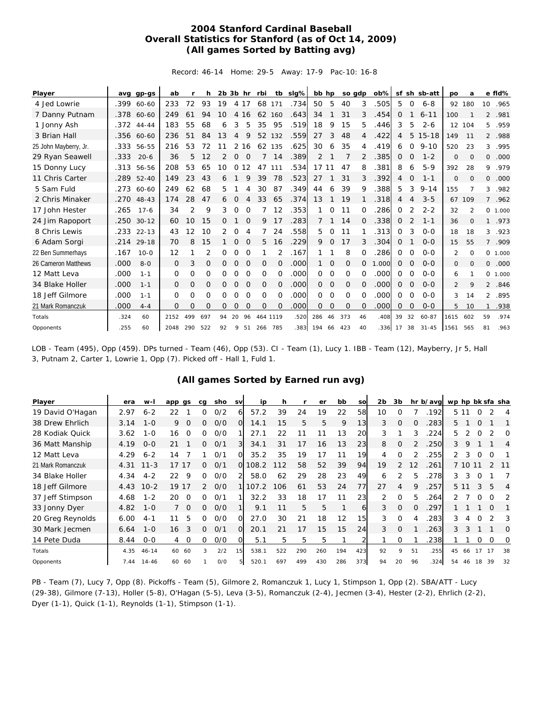## **2004 Stanford Cardinal Baseball Overall Statistics for Stanford (as of Oct 14, 2009) (All games Sorted by Batting avg)**

Record: 46-14 Home: 29-5 Away: 17-9 Pac-10: 16-8

| Player                |      | avg gp-gs  | ab           |     | h.           |    |              |             | 2b 3b hr rbi |              | tb sig% | bb hp    |          |              | so gdp   | ob%l  |              |                | sf sh sb-att | po             | a            |                | e fld%   |
|-----------------------|------|------------|--------------|-----|--------------|----|--------------|-------------|--------------|--------------|---------|----------|----------|--------------|----------|-------|--------------|----------------|--------------|----------------|--------------|----------------|----------|
| 4 Jed Lowrie          |      | .399 60-60 | 233          | 72  | 93           | 19 |              | 4 17        | 68           | 171          | .734    | 50       | 5        | 40           | 3        | .505  | 5            | $\mathbf 0$    | $6 - 8$      |                | 92 180       | 10             | .965     |
| 7 Danny Putnam        | .378 | 60-60      | 249          | 61  | 94           | 10 | 4            | 16          | 62           | 160          | .643    | 34       |          | 31           | 3        | .454  | 0            |                | $6 - 11$     | 100            |              | $\overline{2}$ | .981     |
| 1 Jonny Ash           | .372 | $44 - 44$  | 183          | 55  | 68           | 6  | 3            | 5           | 35           | 95           | .519    | 18       | 9        | 15           | 5        | .446  | 3            | 5              | $2 - 6$      |                | 12 104       | 5.             | .959     |
| 3 Brian Hall          |      | .356 60-60 | 236          | 51  | 84           | 13 | 4            | 9           | 52           | 132          | .559    | 27       | 3        | 48           | 4        | .422  | 4            | 5              | $15 - 18$    | 149            | 11           |                | 2 .988   |
| 25 John Mayberry, Jr. | .333 | 56-55      | 216          | 53  | 72           | 11 | 2            | 16          |              | 62 135       | .625    | 30       | 6        | 35           | 4        | .419  | 6            | 0              | $9 - 10$     | 520            | 23           | 3              | .995     |
| 29 Ryan Seawell       | .333 | $20 - 6$   | 36           | 5   | 12           | 2  | 0            | $\Omega$    |              | 14           | .389    | 2        |          |              | 2        | .385  | 0            | 0              | $1 - 2$      | 0              | $\Omega$     | 0              | .000     |
| 15 Donny Lucy         | .313 | 56-56      | 208          | 53  | 65           | 10 | $\Omega$     | 12          | 47           | 111          | .534    | 17       | 11       | 47           | 8        | 381   | 8            | 6              | $5 - 9$      | 392            | 28           | 9              | .979     |
| 11 Chris Carter       | .289 | $52 - 40$  | 149          | 23  | 43           | 6  |              | 9           | 39           | 78           | .523    | 27       |          | 31           | 3        | .392  | 4            | 0              | $1 - 1$      | 0              | $\Omega$     | 0              | .000     |
| 5 Sam Fuld            |      | .273 60-60 | 249          | 62  | 68           | 5  |              | 4           | 30           | 87           | .349    | 44       | 6        | 39           | 9        | .388  | 5            | 3              | $9 - 14$     | 155            | 7            | 3              | .982     |
| 2 Chris Minaker       | .270 | $48 - 43$  | 174          | 28  | 47           | 6  | O            | 4           | 33           | 65           | .374    | 13       |          | 19           |          | .318  | 4            | 4              | $3 - 5$      | 67             | 109          | $7^{\circ}$    | .962     |
| 17 John Hester        | .265 | $17 - 6$   | 34           | 2   | 9            | 3  | 0            | 0           |              | 12           | .353    |          | $\Omega$ | 11           | O        | 286   | 0            | 2              | $2 - 2$      | 32             | 2            |                | 0, 1,000 |
| 24 Jim Rapoport       | .250 | $30 - 12$  | 60           | 10  | 15           | 0  |              | 0           | 9            | 17           | .283    | 7        |          | 14           | 0        | .338  | 0            | $\overline{2}$ | $1 - 1$      | 36             | $\Omega$     | $\mathbf{1}$   | .973     |
| 8 Chris Lewis         | .233 | $22 - 13$  | 43           | 12  | 10           | 2  | 0            | 4           |              | 24           | .558    | 5        | $\Omega$ | 11           |          | 313   | 0            | 3              | $O - O$      | 18             | 18           | 3              | .923     |
| 6 Adam Sorgi          | .214 | $29 - 18$  | 70           | 8   | 15           |    | 0            | $\mathbf 0$ | 5            | 16           | .229    | 9        | 0        | 17           |          | .304  | 0            |                | $O - O$      | 15             | 55           |                | 7.909    |
| 22 Ben Summerhays     | .167 | $10 - 0$   | 12           | 1   | 2            | 0  | 0            | 0           |              | 2            | .167    |          |          | 8            | $\Omega$ | 286   | 0            | 0              | $O - O$      | $\overline{2}$ | $\Omega$     |                | 0 1.000  |
| 26 Cameron Matthews   | .000 | $8 - 0$    | $\mathbf{0}$ | 3   | $\mathbf{O}$ | 0  | $\mathbf{O}$ | $\mathbf 0$ | 0            | $\mathbf{0}$ | .000    | 1        | 0        | 0            | 0        | 1.000 | $\mathbf{0}$ | 0              | $O - O$      | 0              | $\mathbf{O}$ | 0              | .000     |
| 12 Matt Leva          | .000 | $1 - 1$    | 0            | 0   | 0            | 0  | 0            | 0           | 0            | $\Omega$     | .000    | $\Omega$ | 0        | $\Omega$     | 0        | .000  | 0            | $\Omega$       | $0 - 0$      | 6              |              |                | 0, 1,000 |
| 34 Blake Holler       | .000 | $1 - 1$    | $\mathbf{0}$ | 0   | O            | 0  | $\mathbf{O}$ | $\mathbf 0$ | 0            | $\Omega$     | .000    | $\Omega$ | 0        | $\mathbf{O}$ | 0        | .000  | 0            | $\Omega$       | $O - O$      | $\overline{2}$ | 9            | $\overline{2}$ | .846     |
| 18 Jeff Gilmore       | .000 | $1 - 1$    | 0            | 0   | 0            | 0  | 0            | $\Omega$    | 0            | 0            | .000    | $\Omega$ | 0        | 0            | O        | .000  | 0            | $\Omega$       | $0 - 0$      | 3              | 14           | 2              | .895     |
| 21 Mark Romanczuk     | .000 | $4 - 4$    | $\Omega$     | O   | O            | 0  | 0            | 0           | $\Omega$     | $\Omega$     | .000    | 0        | $\Omega$ | $\Omega$     | $\Omega$ | .000  | $\Omega$     | $\Omega$       | $O-O$        | 5              | 10           |                | .938     |
| Totals                | .324 | 60         | 2152         | 499 | 697          | 94 | 20           | 96          |              | 464 1119     | .520    | 286      | 46       | 373          | 46       | .408  | 39           | 32             | 60-87        | 1615           | 602          | 59             | .974     |
| Opponents             | .255 | 60         | 2048         | 290 | 522          | 92 | 9            | 51          | 266          | 785          | .383    | 194      | 66       | 423          | 40       | .336  | 17           | 38             | $31 - 45$    | 1561           | 565          | 81             | .963     |

LOB - Team (495), Opp (459). DPs turned - Team (46), Opp (53). CI - Team (1), Lucy 1. IBB - Team (12), Mayberry, Jr 5, Hall 3, Putnam 2, Carter 1, Lowrie 1, Opp (7). Picked off - Hall 1, Fuld 1.

## **(All games Sorted by Earned run avg)**

| Player            | era  | w-I       | app gs         | cg            | sho | sv       | ip    | h   |     | er  | bb  | sol | 2b | 3b       |          | hr b/avg | wp hp bk sfa sha |         |          |          |          |
|-------------------|------|-----------|----------------|---------------|-----|----------|-------|-----|-----|-----|-----|-----|----|----------|----------|----------|------------------|---------|----------|----------|----------|
| 19 David O'Hagan  | 2.97 | $6 - 2$   | 22             | 0             | O/2 | 6        | 57.2  | 39  | 24  | 19  | 22  | 58  | 10 | $\Omega$ |          | .192     |                  | 5 11    | 0        | 2        | 4        |
| 38 Drew Ehrlich   | 3.14 | $1 - 0$   | 9<br>$\Omega$  | 0             | O/O | O.       | 14.1  | 15  | 5   | 5   | 9   | 13  | 3  | $\Omega$ |          | 283      | 5.               |         | $\Omega$ |          |          |
| 28 Kodiak Quick   | 3.62 | $1 - 0$   | 16<br>$\Omega$ | 0             | 0/0 |          | 27.1  | 22  |     |     | 13  | 20  | 3  |          | 3        | 224      | 5.               |         |          |          | O        |
| 36 Matt Manship   | 4.19 | $0 - 0$   | 21             | 0             | O/1 | 31       | 34.1  | 31  | 17  | 16  | 13  | 23  | 8  | 0        |          | 250      | 3                | 9       |          |          | 4        |
| 12 Matt Leva      | 4.29 | $6 - 2$   | 14             |               | O/1 | $\Omega$ | 35.2  | 35  | 19  | 17  | 11  | 19  | 4  | $\Omega$ |          | 255      | $\mathcal{P}$    | 3       | 0        | $\Omega$ |          |
| 21 Mark Romanczuk | 4.31 | $11 - 3$  | 17<br>17       | 0             | O/1 | $\Omega$ | 108.2 | 112 | 58  | 52  | 39  | 94  | 19 | 2        | 12       | 261      |                  | 7 10 11 |          |          |          |
| 34 Blake Holler   | 4.34 | $4 - 2$   | 9<br>22        | 0             | O/O |          | 58.0  | 62  | 29  | 28  | 23  | 49  | 6  |          | 5        | 278      | 3                | 3       | 0        |          |          |
| 18 Jeff Gilmore   | 4.43 | $10 - 2$  | 17<br>19       | $\mathcal{P}$ | O/O |          | 107.2 | 106 | 61  | 53  | 24  | 77  | 27 | 4        | 9        | 257      |                  | 5 1 1   | 3        | 5        | 4        |
| 37 Jeff Stimpson  | 4.68 | $1 - 2$   | 20<br>$\Omega$ | 0             | 0/1 |          | 32.2  | 33  | 18  | 17  | 11  | 23  | 2  | $\Omega$ | 5        | 264      |                  |         | 0        | O        |          |
| 33 Jonny Dyer     | 4.82 | $1 - 0$   | $\Omega$       | 0             | O/O |          | 9.1   | 11  | 5   | 5   |     | 6   | 3  | $\Omega$ | $\Omega$ | .297     |                  |         |          | $\Omega$ |          |
| 20 Greg Reynolds  | 6.00 | $4 - 1$   | 5<br>11        | 0             | O/O | $\Omega$ | 27.0  | 30  | 21  | 18  | 12  | 15  | 3  | $\Omega$ | 4        | .283     | 3                | 4       | 0        | っ        | 3        |
| 30 Mark Jecmen    | 6.64 | $1 - 0$   | 3<br>16        | 0             | O/1 | $\Omega$ | 20.1  | 21  | 17  | 15  | 15  | 24  | 3  | $\Omega$ |          | 263      | 3                | 3       |          |          | $\Omega$ |
| 14 Pete Duda      | 8.44 | $0 - 0$   | 0<br>4         | 0             | O/O | ΩI       | 5.1   | 5.  | 5   | 5   |     |     |    | 0        |          | .238     |                  |         | 0        | 0        | 0        |
| Totals            | 4.35 | $46 - 14$ | 60<br>60       | 3             | 2/2 | 15       | 538.1 | 522 | 290 | 260 | 194 | 423 | 92 | 9        | 51       | .255     | 45               | 66      | 17       | 17       | 38       |
| Opponents         | 7.44 | $14 - 46$ | 60<br>60       |               | 0/0 |          | 520.1 | 697 | 499 | 430 | 286 | 373 | 94 | 20       | 96       | .324     | 54               | 46      | 18       | 39       | 32       |

PB - Team (7), Lucy 7, Opp (8). Pickoffs - Team (5), Gilmore 2, Romanczuk 1, Lucy 1, Stimpson 1, Opp (2). SBA/ATT - Lucy (29-38), Gilmore (7-13), Holler (5-8), O'Hagan (5-5), Leva (3-5), Romanczuk (2-4), Jecmen (3-4), Hester (2-2), Ehrlich (2-2), Dyer (1-1), Quick (1-1), Reynolds (1-1), Stimpson (1-1).